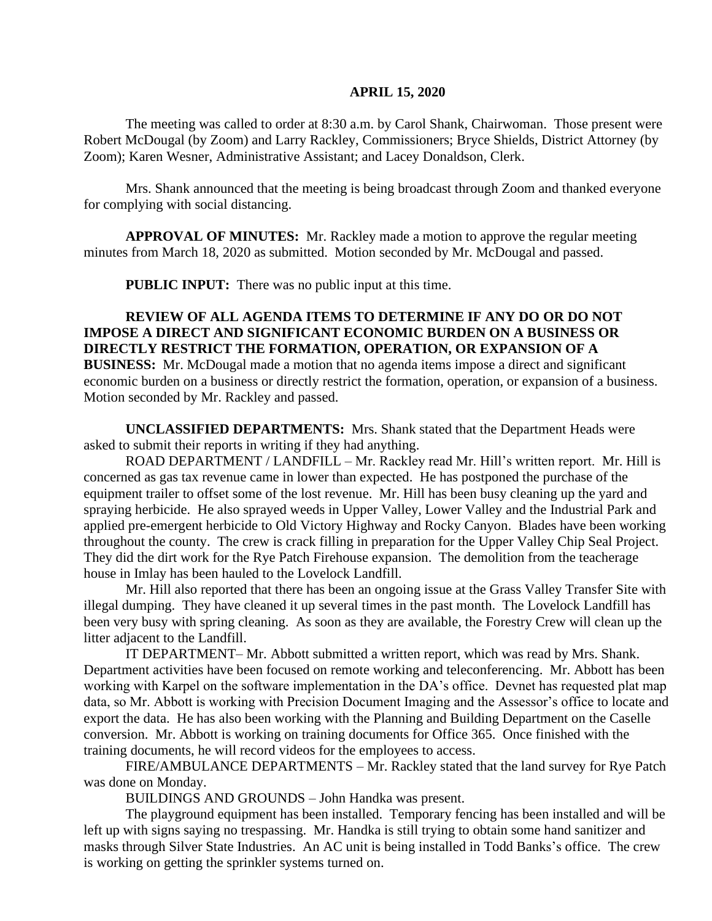## **APRIL 15, 2020**

The meeting was called to order at 8:30 a.m. by Carol Shank, Chairwoman. Those present were Robert McDougal (by Zoom) and Larry Rackley, Commissioners; Bryce Shields, District Attorney (by Zoom); Karen Wesner, Administrative Assistant; and Lacey Donaldson, Clerk.

Mrs. Shank announced that the meeting is being broadcast through Zoom and thanked everyone for complying with social distancing.

**APPROVAL OF MINUTES:** Mr. Rackley made a motion to approve the regular meeting minutes from March 18, 2020 as submitted. Motion seconded by Mr. McDougal and passed.

**PUBLIC INPUT:** There was no public input at this time.

**REVIEW OF ALL AGENDA ITEMS TO DETERMINE IF ANY DO OR DO NOT IMPOSE A DIRECT AND SIGNIFICANT ECONOMIC BURDEN ON A BUSINESS OR DIRECTLY RESTRICT THE FORMATION, OPERATION, OR EXPANSION OF A BUSINESS:** Mr. McDougal made a motion that no agenda items impose a direct and significant economic burden on a business or directly restrict the formation, operation, or expansion of a business. Motion seconded by Mr. Rackley and passed.

**UNCLASSIFIED DEPARTMENTS:** Mrs. Shank stated that the Department Heads were asked to submit their reports in writing if they had anything.

ROAD DEPARTMENT / LANDFILL – Mr. Rackley read Mr. Hill's written report. Mr. Hill is concerned as gas tax revenue came in lower than expected. He has postponed the purchase of the equipment trailer to offset some of the lost revenue. Mr. Hill has been busy cleaning up the yard and spraying herbicide. He also sprayed weeds in Upper Valley, Lower Valley and the Industrial Park and applied pre-emergent herbicide to Old Victory Highway and Rocky Canyon. Blades have been working throughout the county. The crew is crack filling in preparation for the Upper Valley Chip Seal Project. They did the dirt work for the Rye Patch Firehouse expansion. The demolition from the teacherage house in Imlay has been hauled to the Lovelock Landfill.

Mr. Hill also reported that there has been an ongoing issue at the Grass Valley Transfer Site with illegal dumping. They have cleaned it up several times in the past month. The Lovelock Landfill has been very busy with spring cleaning. As soon as they are available, the Forestry Crew will clean up the litter adjacent to the Landfill.

IT DEPARTMENT– Mr. Abbott submitted a written report, which was read by Mrs. Shank. Department activities have been focused on remote working and teleconferencing. Mr. Abbott has been working with Karpel on the software implementation in the DA's office. Devnet has requested plat map data, so Mr. Abbott is working with Precision Document Imaging and the Assessor's office to locate and export the data. He has also been working with the Planning and Building Department on the Caselle conversion. Mr. Abbott is working on training documents for Office 365. Once finished with the training documents, he will record videos for the employees to access.

FIRE/AMBULANCE DEPARTMENTS – Mr. Rackley stated that the land survey for Rye Patch was done on Monday.

BUILDINGS AND GROUNDS – John Handka was present.

The playground equipment has been installed. Temporary fencing has been installed and will be left up with signs saying no trespassing. Mr. Handka is still trying to obtain some hand sanitizer and masks through Silver State Industries. An AC unit is being installed in Todd Banks's office. The crew is working on getting the sprinkler systems turned on.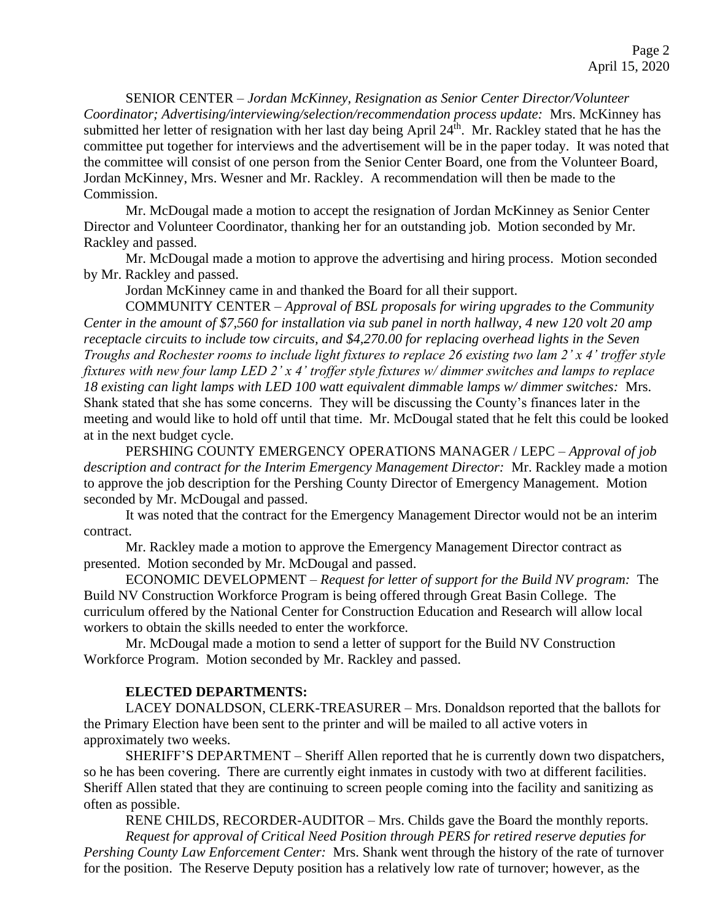SENIOR CENTER – *Jordan McKinney, Resignation as Senior Center Director/Volunteer Coordinator; Advertising/interviewing/selection/recommendation process update:* Mrs. McKinney has submitted her letter of resignation with her last day being April 24<sup>th</sup>. Mr. Rackley stated that he has the committee put together for interviews and the advertisement will be in the paper today. It was noted that the committee will consist of one person from the Senior Center Board, one from the Volunteer Board, Jordan McKinney, Mrs. Wesner and Mr. Rackley. A recommendation will then be made to the Commission.

Mr. McDougal made a motion to accept the resignation of Jordan McKinney as Senior Center Director and Volunteer Coordinator, thanking her for an outstanding job. Motion seconded by Mr. Rackley and passed.

Mr. McDougal made a motion to approve the advertising and hiring process. Motion seconded by Mr. Rackley and passed.

Jordan McKinney came in and thanked the Board for all their support.

COMMUNITY CENTER – *Approval of BSL proposals for wiring upgrades to the Community Center in the amount of \$7,560 for installation via sub panel in north hallway, 4 new 120 volt 20 amp receptacle circuits to include tow circuits, and \$4,270.00 for replacing overhead lights in the Seven Troughs and Rochester rooms to include light fixtures to replace 26 existing two lam 2' x 4' troffer style fixtures with new four lamp LED 2' x 4' troffer style fixtures w/ dimmer switches and lamps to replace 18 existing can light lamps with LED 100 watt equivalent dimmable lamps w/ dimmer switches:* Mrs. Shank stated that she has some concerns. They will be discussing the County's finances later in the meeting and would like to hold off until that time. Mr. McDougal stated that he felt this could be looked at in the next budget cycle.

PERSHING COUNTY EMERGENCY OPERATIONS MANAGER / LEPC – *Approval of job description and contract for the Interim Emergency Management Director:* Mr. Rackley made a motion to approve the job description for the Pershing County Director of Emergency Management. Motion seconded by Mr. McDougal and passed.

It was noted that the contract for the Emergency Management Director would not be an interim contract.

Mr. Rackley made a motion to approve the Emergency Management Director contract as presented. Motion seconded by Mr. McDougal and passed.

ECONOMIC DEVELOPMENT – *Request for letter of support for the Build NV program:* The Build NV Construction Workforce Program is being offered through Great Basin College. The curriculum offered by the National Center for Construction Education and Research will allow local workers to obtain the skills needed to enter the workforce.

Mr. McDougal made a motion to send a letter of support for the Build NV Construction Workforce Program. Motion seconded by Mr. Rackley and passed.

## **ELECTED DEPARTMENTS:**

LACEY DONALDSON, CLERK-TREASURER – Mrs. Donaldson reported that the ballots for the Primary Election have been sent to the printer and will be mailed to all active voters in approximately two weeks.

SHERIFF'S DEPARTMENT – Sheriff Allen reported that he is currently down two dispatchers, so he has been covering. There are currently eight inmates in custody with two at different facilities. Sheriff Allen stated that they are continuing to screen people coming into the facility and sanitizing as often as possible.

RENE CHILDS, RECORDER-AUDITOR – Mrs. Childs gave the Board the monthly reports. *Request for approval of Critical Need Position through PERS for retired reserve deputies for Pershing County Law Enforcement Center:* Mrs. Shank went through the history of the rate of turnover for the position. The Reserve Deputy position has a relatively low rate of turnover; however, as the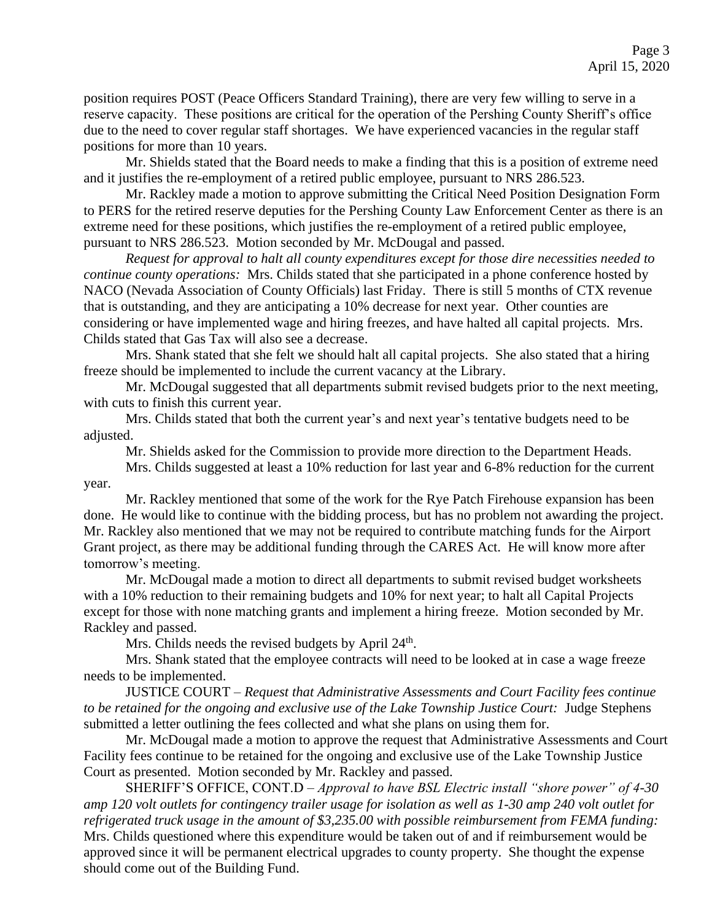position requires POST (Peace Officers Standard Training), there are very few willing to serve in a reserve capacity. These positions are critical for the operation of the Pershing County Sheriff's office due to the need to cover regular staff shortages. We have experienced vacancies in the regular staff positions for more than 10 years.

Mr. Shields stated that the Board needs to make a finding that this is a position of extreme need and it justifies the re-employment of a retired public employee, pursuant to NRS 286.523.

Mr. Rackley made a motion to approve submitting the Critical Need Position Designation Form to PERS for the retired reserve deputies for the Pershing County Law Enforcement Center as there is an extreme need for these positions, which justifies the re-employment of a retired public employee, pursuant to NRS 286.523. Motion seconded by Mr. McDougal and passed.

*Request for approval to halt all county expenditures except for those dire necessities needed to continue county operations:* Mrs. Childs stated that she participated in a phone conference hosted by NACO (Nevada Association of County Officials) last Friday. There is still 5 months of CTX revenue that is outstanding, and they are anticipating a 10% decrease for next year. Other counties are considering or have implemented wage and hiring freezes, and have halted all capital projects. Mrs. Childs stated that Gas Tax will also see a decrease.

Mrs. Shank stated that she felt we should halt all capital projects. She also stated that a hiring freeze should be implemented to include the current vacancy at the Library.

Mr. McDougal suggested that all departments submit revised budgets prior to the next meeting, with cuts to finish this current year.

Mrs. Childs stated that both the current year's and next year's tentative budgets need to be adjusted.

Mr. Shields asked for the Commission to provide more direction to the Department Heads.

Mrs. Childs suggested at least a 10% reduction for last year and 6-8% reduction for the current year.

Mr. Rackley mentioned that some of the work for the Rye Patch Firehouse expansion has been done. He would like to continue with the bidding process, but has no problem not awarding the project. Mr. Rackley also mentioned that we may not be required to contribute matching funds for the Airport Grant project, as there may be additional funding through the CARES Act. He will know more after tomorrow's meeting.

Mr. McDougal made a motion to direct all departments to submit revised budget worksheets with a 10% reduction to their remaining budgets and 10% for next year; to halt all Capital Projects except for those with none matching grants and implement a hiring freeze. Motion seconded by Mr. Rackley and passed.

Mrs. Childs needs the revised budgets by April  $24<sup>th</sup>$ .

Mrs. Shank stated that the employee contracts will need to be looked at in case a wage freeze needs to be implemented.

JUSTICE COURT – *Request that Administrative Assessments and Court Facility fees continue to be retained for the ongoing and exclusive use of the Lake Township Justice Court:* Judge Stephens submitted a letter outlining the fees collected and what she plans on using them for.

Mr. McDougal made a motion to approve the request that Administrative Assessments and Court Facility fees continue to be retained for the ongoing and exclusive use of the Lake Township Justice Court as presented. Motion seconded by Mr. Rackley and passed.

SHERIFF'S OFFICE, CONT.D – *Approval to have BSL Electric install "shore power" of 4-30 amp 120 volt outlets for contingency trailer usage for isolation as well as 1-30 amp 240 volt outlet for refrigerated truck usage in the amount of \$3,235.00 with possible reimbursement from FEMA funding:*  Mrs. Childs questioned where this expenditure would be taken out of and if reimbursement would be approved since it will be permanent electrical upgrades to county property. She thought the expense should come out of the Building Fund.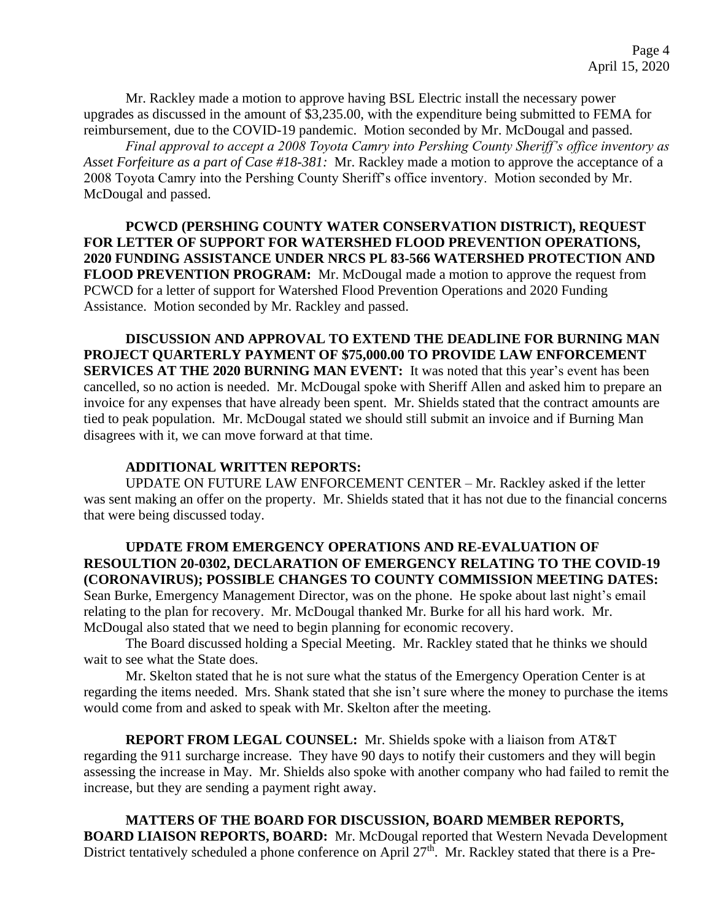Mr. Rackley made a motion to approve having BSL Electric install the necessary power upgrades as discussed in the amount of \$3,235.00, with the expenditure being submitted to FEMA for reimbursement, due to the COVID-19 pandemic. Motion seconded by Mr. McDougal and passed.

*Final approval to accept a 2008 Toyota Camry into Pershing County Sheriff's office inventory as Asset Forfeiture as a part of Case #18-381:* Mr. Rackley made a motion to approve the acceptance of a 2008 Toyota Camry into the Pershing County Sheriff's office inventory. Motion seconded by Mr. McDougal and passed.

**PCWCD (PERSHING COUNTY WATER CONSERVATION DISTRICT), REQUEST FOR LETTER OF SUPPORT FOR WATERSHED FLOOD PREVENTION OPERATIONS, 2020 FUNDING ASSISTANCE UNDER NRCS PL 83-566 WATERSHED PROTECTION AND FLOOD PREVENTION PROGRAM:** Mr. McDougal made a motion to approve the request from PCWCD for a letter of support for Watershed Flood Prevention Operations and 2020 Funding Assistance. Motion seconded by Mr. Rackley and passed.

**DISCUSSION AND APPROVAL TO EXTEND THE DEADLINE FOR BURNING MAN PROJECT QUARTERLY PAYMENT OF \$75,000.00 TO PROVIDE LAW ENFORCEMENT SERVICES AT THE 2020 BURNING MAN EVENT:** It was noted that this year's event has been cancelled, so no action is needed. Mr. McDougal spoke with Sheriff Allen and asked him to prepare an invoice for any expenses that have already been spent. Mr. Shields stated that the contract amounts are tied to peak population. Mr. McDougal stated we should still submit an invoice and if Burning Man disagrees with it, we can move forward at that time.

## **ADDITIONAL WRITTEN REPORTS:**

UPDATE ON FUTURE LAW ENFORCEMENT CENTER – Mr. Rackley asked if the letter was sent making an offer on the property. Mr. Shields stated that it has not due to the financial concerns that were being discussed today.

## **UPDATE FROM EMERGENCY OPERATIONS AND RE-EVALUATION OF RESOULTION 20-0302, DECLARATION OF EMERGENCY RELATING TO THE COVID-19 (CORONAVIRUS); POSSIBLE CHANGES TO COUNTY COMMISSION MEETING DATES:**

Sean Burke, Emergency Management Director, was on the phone. He spoke about last night's email relating to the plan for recovery. Mr. McDougal thanked Mr. Burke for all his hard work. Mr. McDougal also stated that we need to begin planning for economic recovery.

The Board discussed holding a Special Meeting. Mr. Rackley stated that he thinks we should wait to see what the State does.

Mr. Skelton stated that he is not sure what the status of the Emergency Operation Center is at regarding the items needed. Mrs. Shank stated that she isn't sure where the money to purchase the items would come from and asked to speak with Mr. Skelton after the meeting.

**REPORT FROM LEGAL COUNSEL:** Mr. Shields spoke with a liaison from AT&T regarding the 911 surcharge increase. They have 90 days to notify their customers and they will begin assessing the increase in May. Mr. Shields also spoke with another company who had failed to remit the increase, but they are sending a payment right away.

**MATTERS OF THE BOARD FOR DISCUSSION, BOARD MEMBER REPORTS, BOARD LIAISON REPORTS, BOARD:** Mr. McDougal reported that Western Nevada Development District tentatively scheduled a phone conference on April 27<sup>th</sup>. Mr. Rackley stated that there is a Pre